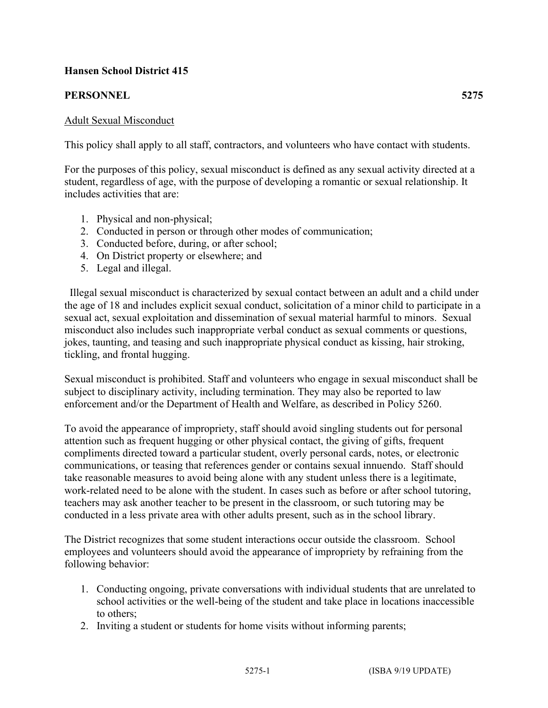# **Hansen School District 415**

# **PERSONNEL 5275**

## Adult Sexual Misconduct

This policy shall apply to all staff, contractors, and volunteers who have contact with students.

For the purposes of this policy, sexual misconduct is defined as any sexual activity directed at a student, regardless of age, with the purpose of developing a romantic or sexual relationship. It includes activities that are:

- 1. Physical and non-physical;
- 2. Conducted in person or through other modes of communication;
- 3. Conducted before, during, or after school;
- 4. On District property or elsewhere; and
- 5. Legal and illegal.

 Illegal sexual misconduct is characterized by sexual contact between an adult and a child under the age of 18 and includes explicit sexual conduct, solicitation of a minor child to participate in a sexual act, sexual exploitation and dissemination of sexual material harmful to minors. Sexual misconduct also includes such inappropriate verbal conduct as sexual comments or questions, jokes, taunting, and teasing and such inappropriate physical conduct as kissing, hair stroking, tickling, and frontal hugging.

Sexual misconduct is prohibited. Staff and volunteers who engage in sexual misconduct shall be subject to disciplinary activity, including termination. They may also be reported to law enforcement and/or the Department of Health and Welfare, as described in Policy 5260.

To avoid the appearance of impropriety, staff should avoid singling students out for personal attention such as frequent hugging or other physical contact, the giving of gifts, frequent compliments directed toward a particular student, overly personal cards, notes, or electronic communications, or teasing that references gender or contains sexual innuendo. Staff should take reasonable measures to avoid being alone with any student unless there is a legitimate, work-related need to be alone with the student. In cases such as before or after school tutoring, teachers may ask another teacher to be present in the classroom, or such tutoring may be conducted in a less private area with other adults present, such as in the school library.

The District recognizes that some student interactions occur outside the classroom. School employees and volunteers should avoid the appearance of impropriety by refraining from the following behavior:

- 1. Conducting ongoing, private conversations with individual students that are unrelated to school activities or the well-being of the student and take place in locations inaccessible to others;
- 2. Inviting a student or students for home visits without informing parents;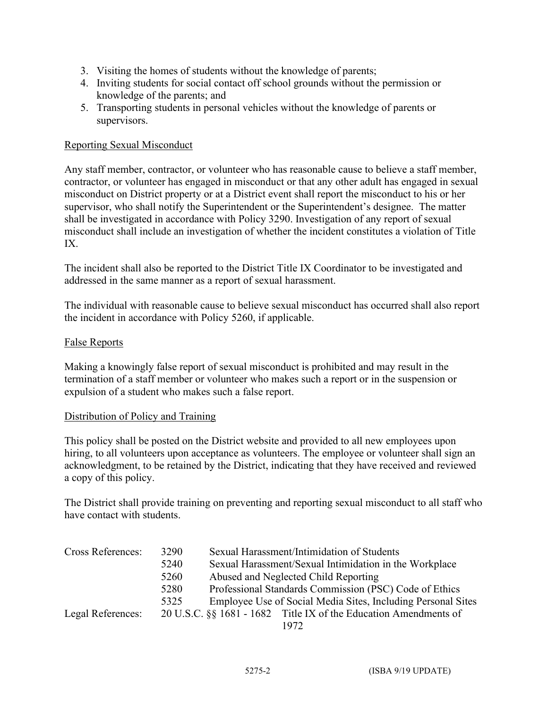- 3. Visiting the homes of students without the knowledge of parents;
- 4. Inviting students for social contact off school grounds without the permission or knowledge of the parents; and
- 5. Transporting students in personal vehicles without the knowledge of parents or supervisors.

### Reporting Sexual Misconduct

Any staff member, contractor, or volunteer who has reasonable cause to believe a staff member, contractor, or volunteer has engaged in misconduct or that any other adult has engaged in sexual misconduct on District property or at a District event shall report the misconduct to his or her supervisor, who shall notify the Superintendent or the Superintendent's designee. The matter shall be investigated in accordance with Policy 3290. Investigation of any report of sexual misconduct shall include an investigation of whether the incident constitutes a violation of Title IX.

The incident shall also be reported to the District Title IX Coordinator to be investigated and addressed in the same manner as a report of sexual harassment.

The individual with reasonable cause to believe sexual misconduct has occurred shall also report the incident in accordance with Policy 5260, if applicable.

### False Reports

Making a knowingly false report of sexual misconduct is prohibited and may result in the termination of a staff member or volunteer who makes such a report or in the suspension or expulsion of a student who makes such a false report.

### Distribution of Policy and Training

This policy shall be posted on the District website and provided to all new employees upon hiring, to all volunteers upon acceptance as volunteers. The employee or volunteer shall sign an acknowledgment, to be retained by the District, indicating that they have received and reviewed a copy of this policy.

The District shall provide training on preventing and reporting sexual misconduct to all staff who have contact with students.

| <b>Cross References:</b> | 3290 | Sexual Harassment/Intimidation of Students                       |
|--------------------------|------|------------------------------------------------------------------|
|                          | 5240 | Sexual Harassment/Sexual Intimidation in the Workplace           |
|                          | 5260 | Abused and Neglected Child Reporting                             |
|                          | 5280 | Professional Standards Commission (PSC) Code of Ethics           |
|                          | 5325 | Employee Use of Social Media Sites, Including Personal Sites     |
| Legal References:        |      | 20 U.S.C. §§ 1681 - 1682 Title IX of the Education Amendments of |
|                          |      | 1972                                                             |